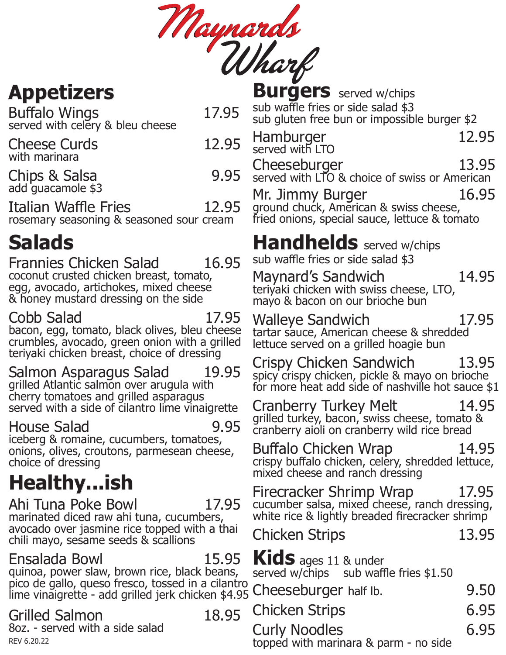Maynards

### **Appetizers**

Buffalo Wings 17.95 served with celery & bleu cheese

| <b>Cheese Curds</b><br>with marinara | 12.95 |
|--------------------------------------|-------|
| Chips & Salsa<br>add guacamole \$3   | 9.95  |

Italian Waffle Fries 12.95 rosemary seasoning & seasoned sour cream

### **Salads**

Frannies Chicken Salad 16.95 coconut crusted chicken breast, tomato, egg, avocado, artichokes, mixed cheese & honey mustard dressing on the side

Cobb Salad 17.95

bacon, egg, tomato, black olives, bleu cheese crumbles, avocado, green onion with a grilled teriyaki chicken breast, choice of dressing

Salmon Asparagus Salad 19.95 grilled Atlantic salmon over arugula with cherry tomatoes and grilled asparagus served with a side of cilantro lime vinaigrette

#### House Salad 9.95

iceberg & romaine, cucumbers, tomatoes, onions, olives, croutons, parmesean cheese, choice of dressing

# **Healthy...ish**

Ahi Tuna Poke Bowl 17.95 marinated diced raw ahi tuna, cucumbers, avocado over jasmine rice topped with a thai chili mayo, sesame seeds & scallions

#### Ensalada Bowl 15.95

quinoa, power slaw, brown rice, black beans, pico de gallo, queso fresco, tossed in a cilantro<br>lime vinaigrette - add grilled jerk chicken \$4.95 Chet lime vinaigrette - add grilled jerk chicken \$4.95

#### Grilled Salmon 18.95

8oz. - served with a side salad

| <b>Burgers</b> served w/chips<br>sub waffle fries or side salad \$3 |  |
|---------------------------------------------------------------------|--|
| sub gluten free bun or impossible burger \$2                        |  |
| Hamburger<br>served with LTO<br>12.95                               |  |

Cheeseburger 13.95 served with LTO & choice of swiss or American

Mr. Jimmy Burger 16.95 ground chuck, American & swiss cheese, fried onions, special sauce, lettuce & tomato

### **Handhelds** served w/chips

sub waffle fries or side salad \$3

Maynard's Sandwich 14.95 teriyaki chicken with swiss cheese, LTO, mayo & bacon on our brioche bun

Walleye Sandwich 17.95 tartar sauce, American cheese & shredded lettuce served on a grilled hoagie bun

Crispy Chicken Sandwich 13.95 spicy crispy chicken, pickle & mayo on brioche for more heat add side of nashville hot sauce \$1

Cranberry Turkey Melt 14.95 grilled turkey, bacon, swiss cheese, tomato & cranberry aioli on cranberry wild rice bread

Buffalo Chicken Wrap 14.95 crispy buffalo chicken, celery, shredded lettuce, mixed cheese and ranch dressing

Firecracker Shrimp Wrap 17.95 cucumber salsa, mixed cheese, ranch dressing, white rice & lightly breaded firecracker shrimp

| <b>Chicken Strips</b>            |  |
|----------------------------------|--|
| $\mathbf{K}$ ids ages 11 & under |  |

**Kids** ages 11 & under served w/chips sub waffle fries \$1.50

| Cheeseburger half Ib. | 9.50          |
|-----------------------|---------------|
| <b>Chicken Strips</b> | 6.95          |
| $C_{1,1}$ uly Nanoloo | $\epsilon$ of |

13.95

Curly Noodles 6.95 REV 6.20.22 REV 6.20.22